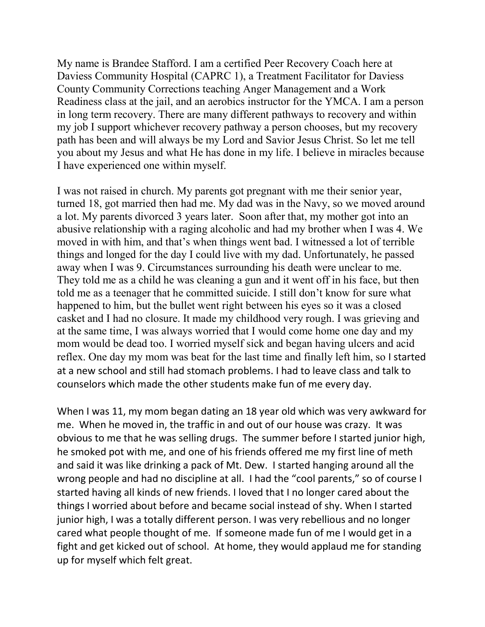My name is Brandee Stafford. I am a certified Peer Recovery Coach here at Daviess Community Hospital (CAPRC 1), a Treatment Facilitator for Daviess County Community Corrections teaching Anger Management and a Work Readiness class at the jail, and an aerobics instructor for the YMCA. I am a person in long term recovery. There are many different pathways to recovery and within my job I support whichever recovery pathway a person chooses, but my recovery path has been and will always be my Lord and Savior Jesus Christ. So let me tell you about my Jesus and what He has done in my life. I believe in miracles because I have experienced one within myself.

I was not raised in church. My parents got pregnant with me their senior year, turned 18, got married then had me. My dad was in the Navy, so we moved around a lot. My parents divorced 3 years later. Soon after that, my mother got into an abusive relationship with a raging alcoholic and had my brother when I was 4. We moved in with him, and that's when things went bad. I witnessed a lot of terrible things and longed for the day I could live with my dad. Unfortunately, he passed away when I was 9. Circumstances surrounding his death were unclear to me. They told me as a child he was cleaning a gun and it went off in his face, but then told me as a teenager that he committed suicide. I still don't know for sure what happened to him, but the bullet went right between his eyes so it was a closed casket and I had no closure. It made my childhood very rough. I was grieving and at the same time, I was always worried that I would come home one day and my mom would be dead too. I worried myself sick and began having ulcers and acid reflex. One day my mom was beat for the last time and finally left him, so I started at a new school and still had stomach problems. I had to leave class and talk to counselors which made the other students make fun of me every day.

When I was 11, my mom began dating an 18 year old which was very awkward for me. When he moved in, the traffic in and out of our house was crazy. It was obvious to me that he was selling drugs. The summer before I started junior high, he smoked pot with me, and one of his friends offered me my first line of meth and said it was like drinking a pack of Mt. Dew. I started hanging around all the wrong people and had no discipline at all. I had the "cool parents," so of course I started having all kinds of new friends. I loved that I no longer cared about the things I worried about before and became social instead of shy. When I started junior high, I was a totally different person. I was very rebellious and no longer cared what people thought of me. If someone made fun of me I would get in a fight and get kicked out of school. At home, they would applaud me for standing up for myself which felt great.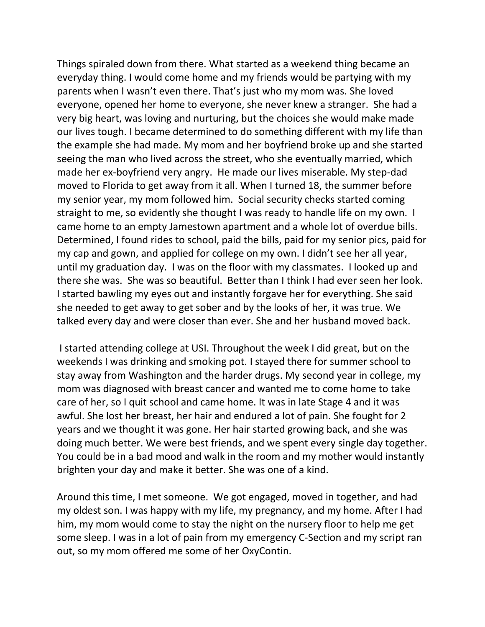Things spiraled down from there. What started as a weekend thing became an everyday thing. I would come home and my friends would be partying with my parents when I wasn't even there. That's just who my mom was. She loved everyone, opened her home to everyone, she never knew a stranger. She had a very big heart, was loving and nurturing, but the choices she would make made our lives tough. I became determined to do something different with my life than the example she had made. My mom and her boyfriend broke up and she started seeing the man who lived across the street, who she eventually married, which made her ex-boyfriend very angry. He made our lives miserable. My step-dad moved to Florida to get away from it all. When I turned 18, the summer before my senior year, my mom followed him. Social security checks started coming straight to me, so evidently she thought I was ready to handle life on my own. I came home to an empty Jamestown apartment and a whole lot of overdue bills. Determined, I found rides to school, paid the bills, paid for my senior pics, paid for my cap and gown, and applied for college on my own. I didn't see her all year, until my graduation day. I was on the floor with my classmates. I looked up and there she was. She was so beautiful. Better than I think I had ever seen her look. I started bawling my eyes out and instantly forgave her for everything. She said she needed to get away to get sober and by the looks of her, it was true. We talked every day and were closer than ever. She and her husband moved back.

I started attending college at USI. Throughout the week I did great, but on the weekends I was drinking and smoking pot. I stayed there for summer school to stay away from Washington and the harder drugs. My second year in college, my mom was diagnosed with breast cancer and wanted me to come home to take care of her, so I quit school and came home. It was in late Stage 4 and it was awful. She lost her breast, her hair and endured a lot of pain. She fought for 2 years and we thought it was gone. Her hair started growing back, and she was doing much better. We were best friends, and we spent every single day together. You could be in a bad mood and walk in the room and my mother would instantly brighten your day and make it better. She was one of a kind.

Around this time, I met someone. We got engaged, moved in together, and had my oldest son. I was happy with my life, my pregnancy, and my home. After I had him, my mom would come to stay the night on the nursery floor to help me get some sleep. I was in a lot of pain from my emergency C-Section and my script ran out, so my mom offered me some of her OxyContin.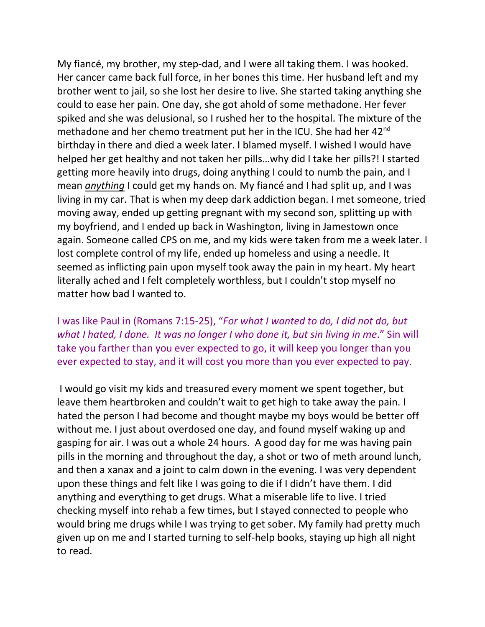My fiancé, my brother, my step-dad, and I were all taking them. I was hooked. Her cancer came back full force, in her bones this time. Her husband left and my brother went to jail, so she lost her desire to live. She started taking anything she could to ease her pain. One day, she got ahold of some methadone. Her fever spiked and she was delusional, so I rushed her to the hospital. The mixture of the methadone and her chemo treatment put her in the ICU. She had her 42<sup>nd</sup> birthday in there and died a week later. I blamed myself. I wished I would have helped her get healthy and not taken her pills…why did I take her pills?! I started getting more heavily into drugs, doing anything I could to numb the pain, and I mean *anything* I could get my hands on. My fiancé and I had split up, and I was living in my car. That is when my deep dark addiction began. I met someone, tried moving away, ended up getting pregnant with my second son, splitting up with my boyfriend, and I ended up back in Washington, living in Jamestown once again. Someone called CPS on me, and my kids were taken from me a week later. I lost complete control of my life, ended up homeless and using a needle. It seemed as inflicting pain upon myself took away the pain in my heart. My heart literally ached and I felt completely worthless, but I couldn't stop myself no matter how bad I wanted to.

I was like Paul in (Romans 7:15-25), "*For what I wanted to do, I did not do, but what I hated, I done. It was no longer I who done it, but sin living in me*." Sin will take you farther than you ever expected to go, it will keep you longer than you ever expected to stay, and it will cost you more than you ever expected to pay.

I would go visit my kids and treasured every moment we spent together, but leave them heartbroken and couldn't wait to get high to take away the pain. I hated the person I had become and thought maybe my boys would be better off without me. I just about overdosed one day, and found myself waking up and gasping for air. I was out a whole 24 hours. A good day for me was having pain pills in the morning and throughout the day, a shot or two of meth around lunch, and then a xanax and a joint to calm down in the evening. I was very dependent upon these things and felt like I was going to die if I didn't have them. I did anything and everything to get drugs. What a miserable life to live. I tried checking myself into rehab a few times, but I stayed connected to people who would bring me drugs while I was trying to get sober. My family had pretty much given up on me and I started turning to self-help books, staying up high all night to read.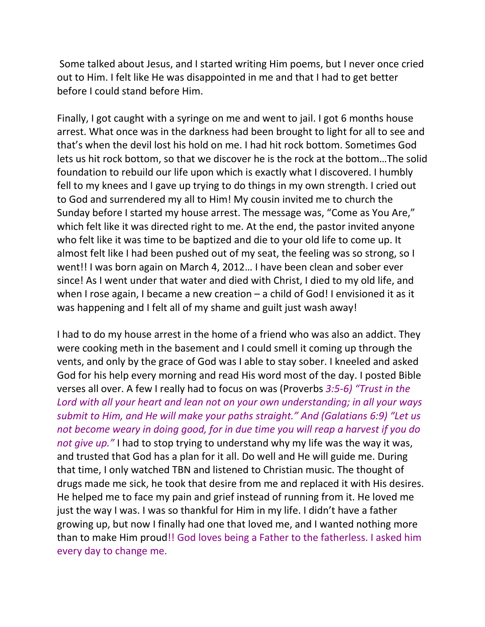Some talked about Jesus, and I started writing Him poems, but I never once cried out to Him. I felt like He was disappointed in me and that I had to get better before I could stand before Him.

Finally, I got caught with a syringe on me and went to jail. I got 6 months house arrest. What once was in the darkness had been brought to light for all to see and that's when the devil lost his hold on me. I had hit rock bottom. Sometimes God lets us hit rock bottom, so that we discover he is the rock at the bottom…The solid foundation to rebuild our life upon which is exactly what I discovered. I humbly fell to my knees and I gave up trying to do things in my own strength. I cried out to God and surrendered my all to Him! My cousin invited me to church the Sunday before I started my house arrest. The message was, "Come as You Are," which felt like it was directed right to me. At the end, the pastor invited anyone who felt like it was time to be baptized and die to your old life to come up. It almost felt like I had been pushed out of my seat, the feeling was so strong, so I went!! I was born again on March 4, 2012… I have been clean and sober ever since! As I went under that water and died with Christ, I died to my old life, and when I rose again, I became a new creation – a child of God! I envisioned it as it was happening and I felt all of my shame and guilt just wash away!

I had to do my house arrest in the home of a friend who was also an addict. They were cooking meth in the basement and I could smell it coming up through the vents, and only by the grace of God was I able to stay sober. I kneeled and asked God for his help every morning and read His word most of the day. I posted Bible verses all over. A few I really had to focus on was (Proverbs *3:5-6) "Trust in the Lord with all your heart and lean not on your own understanding; in all your ways submit to Him, and He will make your paths straight." And (Galatians 6:9) "Let us not become weary in doing good, for in due time you will reap a harvest if you do not give up."* I had to stop trying to understand why my life was the way it was, and trusted that God has a plan for it all. Do well and He will guide me. During that time, I only watched TBN and listened to Christian music. The thought of drugs made me sick, he took that desire from me and replaced it with His desires. He helped me to face my pain and grief instead of running from it. He loved me just the way I was. I was so thankful for Him in my life. I didn't have a father growing up, but now I finally had one that loved me, and I wanted nothing more than to make Him proud!! God loves being a Father to the fatherless. I asked him every day to change me.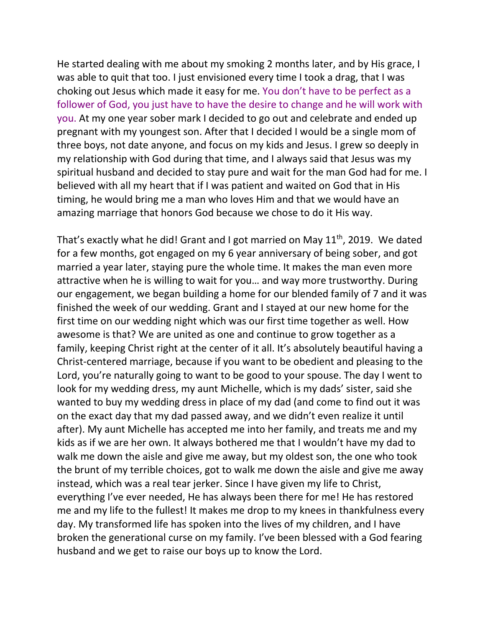He started dealing with me about my smoking 2 months later, and by His grace, I was able to quit that too. I just envisioned every time I took a drag, that I was choking out Jesus which made it easy for me. You don't have to be perfect as a follower of God, you just have to have the desire to change and he will work with you. At my one year sober mark I decided to go out and celebrate and ended up pregnant with my youngest son. After that I decided I would be a single mom of three boys, not date anyone, and focus on my kids and Jesus. I grew so deeply in my relationship with God during that time, and I always said that Jesus was my spiritual husband and decided to stay pure and wait for the man God had for me. I believed with all my heart that if I was patient and waited on God that in His timing, he would bring me a man who loves Him and that we would have an amazing marriage that honors God because we chose to do it His way.

That's exactly what he did! Grant and I got married on May  $11<sup>th</sup>$ , 2019. We dated for a few months, got engaged on my 6 year anniversary of being sober, and got married a year later, staying pure the whole time. It makes the man even more attractive when he is willing to wait for you… and way more trustworthy. During our engagement, we began building a home for our blended family of 7 and it was finished the week of our wedding. Grant and I stayed at our new home for the first time on our wedding night which was our first time together as well. How awesome is that? We are united as one and continue to grow together as a family, keeping Christ right at the center of it all. It's absolutely beautiful having a Christ-centered marriage, because if you want to be obedient and pleasing to the Lord, you're naturally going to want to be good to your spouse. The day I went to look for my wedding dress, my aunt Michelle, which is my dads' sister, said she wanted to buy my wedding dress in place of my dad (and come to find out it was on the exact day that my dad passed away, and we didn't even realize it until after). My aunt Michelle has accepted me into her family, and treats me and my kids as if we are her own. It always bothered me that I wouldn't have my dad to walk me down the aisle and give me away, but my oldest son, the one who took the brunt of my terrible choices, got to walk me down the aisle and give me away instead, which was a real tear jerker. Since I have given my life to Christ, everything I've ever needed, He has always been there for me! He has restored me and my life to the fullest! It makes me drop to my knees in thankfulness every day. My transformed life has spoken into the lives of my children, and I have broken the generational curse on my family. I've been blessed with a God fearing husband and we get to raise our boys up to know the Lord.